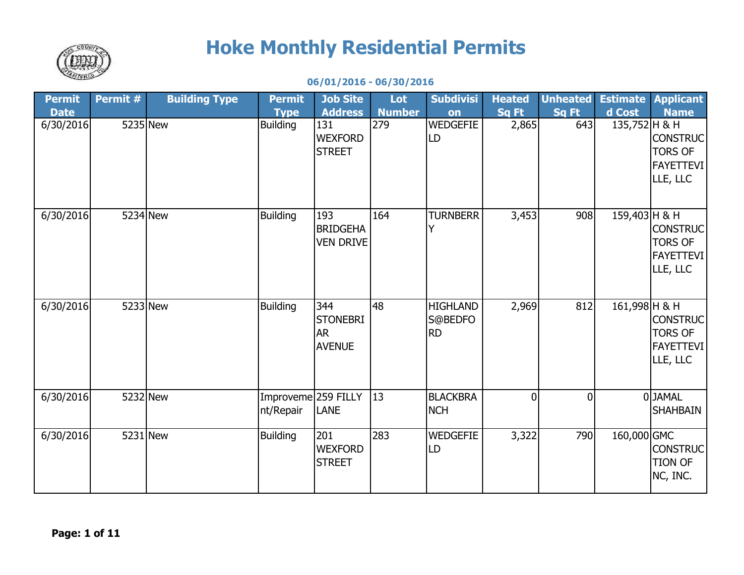

## **Hoke Monthly Residential Permits**

## **06/01/2016 - 06/30/2016**

| Permit      | Permit # | <b>Building Type</b> | <b>Permit</b>                    | <b>Job Site</b>                                      | Lot           | <b>Subdivisi</b>                        | <b>Heated</b>  | <b>Unheated</b> |                 | <b>Estimate Applicant</b>                                         |
|-------------|----------|----------------------|----------------------------------|------------------------------------------------------|---------------|-----------------------------------------|----------------|-----------------|-----------------|-------------------------------------------------------------------|
| <b>Date</b> |          |                      | <b>Type</b>                      | <b>Address</b>                                       | <b>Number</b> | on                                      | <b>Sq Ft</b>   | Sq Ft           | d Cost          | <b>Name</b>                                                       |
| 6/30/2016   | 5235 New |                      | <b>Building</b>                  | 131<br><b>WEXFORD</b><br><b>STREET</b>               | 279           | <b>WEDGEFIE</b><br>LD                   | 2,865          | 643             | 135,752 H & H   | <b>CONSTRUC</b><br><b>TORS OF</b><br><b>FAYETTEVI</b><br>LLE, LLC |
| 6/30/2016   | 5234 New |                      | <b>Building</b>                  | 193<br><b>BRIDGEHA</b><br><b>VEN DRIVE</b>           | 164           | <b>TURNBERR</b>                         | 3,453          | 908             | 159,403 H & H   | <b>CONSTRUC</b><br><b>TORS OF</b><br><b>FAYETTEVI</b><br>LLE, LLC |
| 6/30/2016   | 5233 New |                      | <b>Building</b>                  | 344<br><b>STONEBRI</b><br><b>AR</b><br><b>AVENUE</b> | 48            | <b>HIGHLAND</b><br>S@BEDFO<br><b>RD</b> | 2,969          | 812             | $161,998$ H & H | CONSTRUC<br><b>TORS OF</b><br><b>FAYETTEVI</b><br>LLE, LLC        |
| 6/30/2016   | 5232 New |                      | Improveme 259 FILLY<br>nt/Repair | <b>LANE</b>                                          | 13            | <b>BLACKBRA</b><br><b>NCH</b>           | $\overline{0}$ | $\Omega$        |                 | 0JAMAL<br><b>SHAHBAIN</b>                                         |
| 6/30/2016   | 5231 New |                      | <b>Building</b>                  | 201<br><b>WEXFORD</b><br><b>STREET</b>               | 283           | WEDGEFIE<br>LD                          | 3,322          | 790             | 160,000 GMC     | <b>CONSTRUC</b><br><b>TION OF</b><br>NC, INC.                     |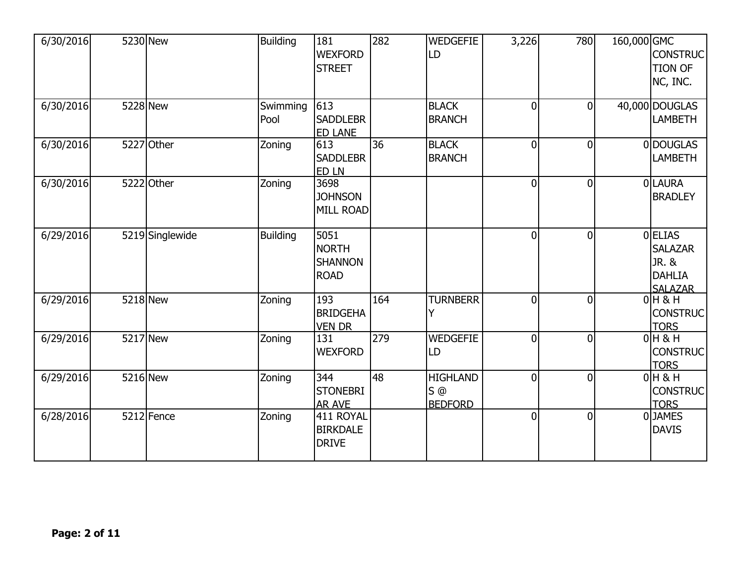| 6/30/2016 |          | 5230 New        | <b>Building</b>  | 181<br><b>WEXFORD</b><br><b>STREET</b>                | 282 | <b>WEDGEFIE</b><br>LD                      | 3,226          | 780            | 160,000 GMC | <b>CONSTRUC</b><br><b>TION OF</b><br>NC, INC.                                |
|-----------|----------|-----------------|------------------|-------------------------------------------------------|-----|--------------------------------------------|----------------|----------------|-------------|------------------------------------------------------------------------------|
| 6/30/2016 | 5228 New |                 | Swimming<br>Pool | 613<br><b>SADDLEBR</b><br><b>ED LANE</b>              |     | <b>BLACK</b><br><b>BRANCH</b>              | $\overline{0}$ | $\overline{0}$ |             | 40,000 DOUGLAS<br><b>LAMBETH</b>                                             |
| 6/30/2016 |          | 5227 Other      | Zoning           | 613<br><b>SADDLEBR</b><br>ED LN                       | 36  | <b>BLACK</b><br><b>BRANCH</b>              | $\overline{0}$ | $\overline{0}$ |             | 0 DOUGLAS<br><b>LAMBETH</b>                                                  |
| 6/30/2016 |          | 5222 Other      | Zoning           | 3698<br><b>JOHNSON</b><br><b>MILL ROAD</b>            |     |                                            | $\overline{0}$ | $\mathbf 0$    |             | 0LAURA<br><b>BRADLEY</b>                                                     |
| 6/29/2016 |          | 5219 Singlewide | <b>Building</b>  | 5051<br><b>NORTH</b><br><b>SHANNON</b><br><b>ROAD</b> |     |                                            | $\overline{0}$ | $\overline{0}$ |             | 0 <b>ELIAS</b><br><b>SALAZAR</b><br>JR. &<br><b>DAHLIA</b><br><b>SALAZAR</b> |
| 6/29/2016 | 5218 New |                 | Zoning           | 193<br><b>BRIDGEHA</b><br><b>VEN DR</b>               | 164 | <b>TURNBERR</b>                            | $\overline{0}$ | $\overline{0}$ |             | $0H$ & H<br><b>CONSTRUC</b><br><b>TORS</b>                                   |
| 6/29/2016 | 5217 New |                 | Zoning           | 131<br><b>WEXFORD</b>                                 | 279 | WEDGEFIE<br>LD                             | $\overline{0}$ | $\overline{0}$ |             | $0H$ & H<br><b>CONSTRUC</b><br><b>TORS</b>                                   |
| 6/29/2016 | 5216 New |                 | Zoning           | 344<br><b>STONEBRI</b><br><b>AR AVE</b>               | 48  | <b>HIGHLAND</b><br>$S$ @<br><b>BEDFORD</b> | $\overline{0}$ | $\mathbf 0$    |             | $0H$ & H<br><b>CONSTRUC</b><br><b>TORS</b>                                   |
| 6/28/2016 |          | 5212 Fence      | Zoning           | 411 ROYAL<br><b>BIRKDALE</b><br><b>DRIVE</b>          |     |                                            | $\overline{0}$ | $\overline{0}$ |             | 0JAMES<br><b>DAVIS</b>                                                       |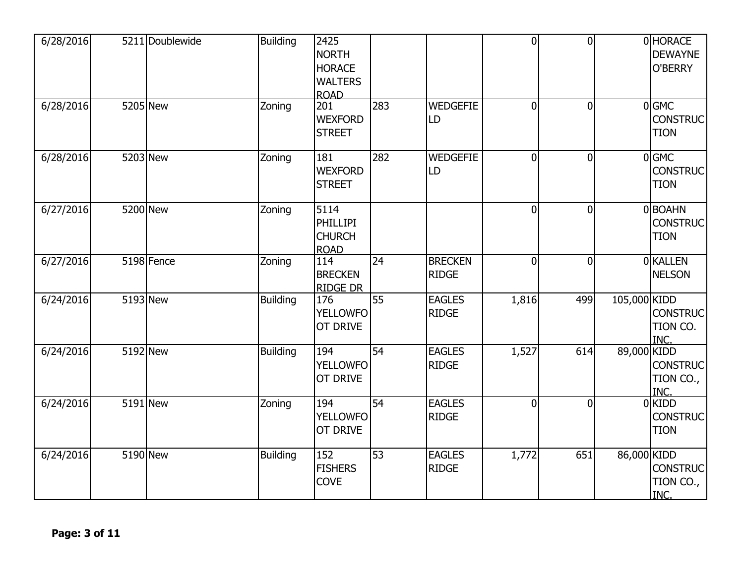| 6/28/2016 |          | 5211 Doublewide         | <b>Building</b> | 2425<br><b>NORTH</b><br><b>HORACE</b><br><b>WALTERS</b><br><b>ROAD</b> |                 |                                | $\overline{0}$ | $\overline{0}$ |              | 0 HORACE<br><b>DEWAYNE</b><br>O'BERRY      |
|-----------|----------|-------------------------|-----------------|------------------------------------------------------------------------|-----------------|--------------------------------|----------------|----------------|--------------|--------------------------------------------|
| 6/28/2016 |          | 5205 New                | Zoning          | 201<br><b>WEXFORD</b><br><b>STREET</b>                                 | 283             | <b>WEDGEFIE</b><br>LD          | $\Omega$       | $\overline{0}$ |              | $0$ GMC<br><b>CONSTRUC</b><br><b>TION</b>  |
| 6/28/2016 |          | 5203 New                | Zoning          | 181<br><b>WEXFORD</b><br><b>STREET</b>                                 | 282             | <b>WEDGEFIE</b><br>LD          | $\overline{0}$ | $\overline{0}$ |              | $0$ GMC<br><b>CONSTRUC</b><br><b>TION</b>  |
| 6/27/2016 |          | 5200 New                | Zoning          | 5114<br>PHILLIPI<br><b>CHURCH</b><br><b>ROAD</b>                       |                 |                                | $\Omega$       | $\mathbf 0$    |              | 0 BOAHN<br><b>CONSTRUC</b><br><b>TION</b>  |
| 6/27/2016 |          | $\overline{5198}$ Fence | Zoning          | 114<br><b>BRECKEN</b><br><b>RIDGE DR</b>                               | 24              | <b>BRECKEN</b><br><b>RIDGE</b> | $\overline{0}$ | $\overline{0}$ |              | 0 KALLEN<br><b>NELSON</b>                  |
| 6/24/2016 |          | 5193 New                | <b>Building</b> | 176<br><b>YELLOWFO</b><br>OT DRIVE                                     | $\overline{55}$ | <b>EAGLES</b><br><b>RIDGE</b>  | 1,816          | 499            | 105,000 KIDD | <b>CONSTRUC</b><br>TION CO.<br>INC.        |
| 6/24/2016 | 5192 New |                         | <b>Building</b> | 194<br><b>YELLOWFO</b><br>OT DRIVE                                     | 54              | <b>EAGLES</b><br><b>RIDGE</b>  | 1,527          | 614            | 89,000 KIDD  | <b>CONSTRUC</b><br>TION CO.,<br>INC.       |
| 6/24/2016 |          | 5191 New                | Zoning          | 194<br><b>YELLOWFO</b><br>OT DRIVE                                     | 54              | <b>EAGLES</b><br><b>RIDGE</b>  | $\Omega$       | $\overline{0}$ |              | $0$ KIDD<br><b>CONSTRUC</b><br><b>TION</b> |
| 6/24/2016 | 5190 New |                         | <b>Building</b> | 152<br><b>FISHERS</b><br><b>COVE</b>                                   | 53              | <b>EAGLES</b><br><b>RIDGE</b>  | 1,772          | 651            | 86,000 KIDD  | <b>CONSTRUC</b><br>TION CO.,<br>INC.       |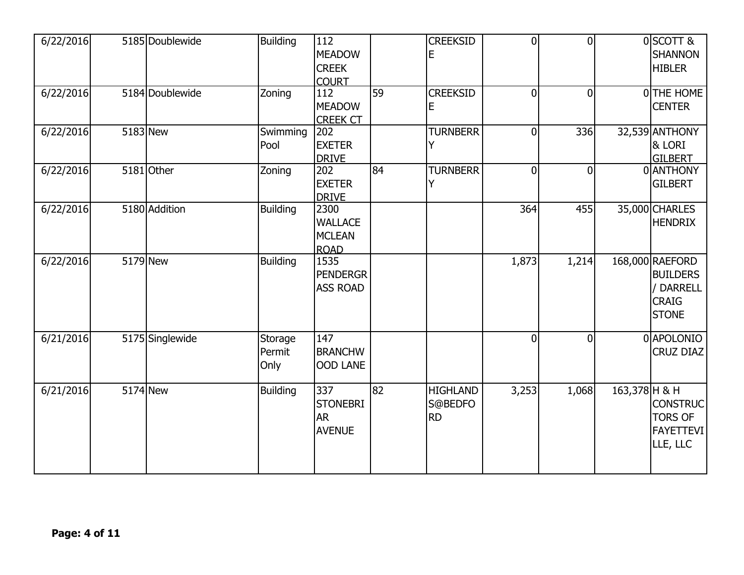| 6/22/2016 |            | 5185 Doublewide | <b>Building</b>           | 112<br><b>MEADOW</b><br><b>CREEK</b><br><b>COURT</b>   |    | <b>CREEKSID</b><br>Ε                    | $\overline{0}$ | $\overline{0}$ |               | 0SCOTT &<br><b>SHANNON</b><br><b>HIBLER</b>                                     |
|-----------|------------|-----------------|---------------------------|--------------------------------------------------------|----|-----------------------------------------|----------------|----------------|---------------|---------------------------------------------------------------------------------|
| 6/22/2016 |            | 5184 Doublewide | Zoning                    | 112<br><b>MEADOW</b><br><b>CREEK CT</b>                | 59 | <b>CREEKSID</b><br>E                    | $\overline{0}$ | $\overline{0}$ |               | O THE HOME<br><b>CENTER</b>                                                     |
| 6/22/2016 |            | 5183 New        | Swimming<br>Pool          | 202<br><b>EXETER</b><br><b>DRIVE</b>                   |    | <b>TURNBERR</b><br>Y                    | $\overline{0}$ | 336            |               | 32,539 ANTHONY<br>& LORI<br><b>GILBERT</b>                                      |
| 6/22/2016 |            | 5181 Other      | Zoning                    | 202<br><b>EXETER</b><br><b>DRIVE</b>                   | 84 | <b>TURNBERR</b><br>Y                    | $\overline{0}$ | $\overline{0}$ |               | 0 ANTHONY<br><b>GILBERT</b>                                                     |
| 6/22/2016 |            | 5180 Addition   | <b>Building</b>           | 2300<br><b>WALLACE</b><br><b>MCLEAN</b><br><b>ROAD</b> |    |                                         | 364            | 455            |               | 35,000 CHARLES<br><b>HENDRIX</b>                                                |
| 6/22/2016 |            | 5179 New        | <b>Building</b>           | 1535<br><b>PENDERGR</b><br><b>ASS ROAD</b>             |    |                                         | 1,873          | 1,214          |               | 168,000 RAEFORD<br><b>BUILDERS</b><br>/ DARRELL<br><b>CRAIG</b><br><b>STONE</b> |
| 6/21/2016 |            | 5175 Singlewide | Storage<br>Permit<br>Only | 147<br><b>BRANCHW</b><br><b>OOD LANE</b>               |    |                                         | $\overline{0}$ | $\overline{0}$ |               | 0 APOLONIO<br><b>CRUZ DIAZ</b>                                                  |
| 6/21/2016 | $5174$ New |                 | <b>Building</b>           | 337<br><b>STONEBRI</b><br><b>AR</b><br><b>AVENUE</b>   | 82 | <b>HIGHLAND</b><br>S@BEDFO<br><b>RD</b> | 3,253          | 1,068          | 163,378 H & H | <b>CONSTRUC</b><br><b>TORS OF</b><br><b>FAYETTEVI</b><br>LLE, LLC               |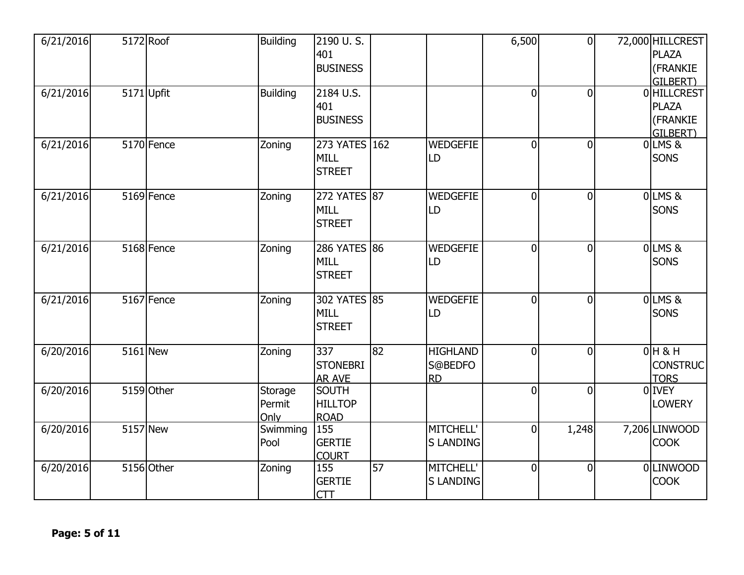| 6/21/2016 | 5172 Roof    | <b>Building</b>           | 2190 U.S.<br>401<br><b>BUSINESS</b>           |    |                                         | 6,500          | $\overline{0}$ | 72,000 HILLCREST<br><b>PLAZA</b><br>(FRANKIE<br>GILBERT) |
|-----------|--------------|---------------------------|-----------------------------------------------|----|-----------------------------------------|----------------|----------------|----------------------------------------------------------|
| 6/21/2016 | $5171$ Upfit | <b>Building</b>           | 2184 U.S.<br>401<br><b>BUSINESS</b>           |    |                                         | $\Omega$       | $\overline{0}$ | 0 HILLCREST<br><b>PLAZA</b><br>(FRANKIE<br>GILBERT)      |
| 6/21/2016 | 5170 Fence   | Zoning                    | 273 YATES 162<br><b>MILL</b><br><b>STREET</b> |    | <b>WEDGEFIE</b><br>LD                   | $\overline{0}$ | $\overline{0}$ | 0 LMS &<br><b>SONS</b>                                   |
| 6/21/2016 | 5169 Fence   | Zoning                    | 272 YATES 87<br><b>MILL</b><br><b>STREET</b>  |    | <b>WEDGEFIE</b><br>LD                   | $\overline{0}$ | $\overline{0}$ | $0$ LMS&<br><b>SONS</b>                                  |
| 6/21/2016 | 5168 Fence   | Zoning                    | 286 YATES 86<br>MILL<br><b>STREET</b>         |    | <b>WEDGEFIE</b><br>LD                   | $\overline{0}$ | $\mathbf 0$    | $0$ LMS&<br><b>SONS</b>                                  |
| 6/21/2016 | 5167 Fence   | Zoning                    | 302 YATES 85<br><b>MILL</b><br><b>STREET</b>  |    | <b>WEDGEFIE</b><br>LD                   | $\overline{0}$ | $\overline{0}$ | 0LMS&<br>SONS                                            |
| 6/20/2016 | 5161 New     | Zoning                    | 337<br><b>STONEBRI</b><br><b>AR AVE</b>       | 82 | <b>HIGHLAND</b><br>S@BEDFO<br><b>RD</b> | $\Omega$       | $\overline{0}$ | $0H$ & H<br><b>CONSTRUC</b><br><b>TORS</b>               |
| 6/20/2016 | 5159 Other   | Storage<br>Permit<br>Only | <b>SOUTH</b><br><b>HILLTOP</b><br><b>ROAD</b> |    |                                         | $\Omega$       | $\overline{0}$ | 0 IVEY<br><b>LOWERY</b>                                  |
| 6/20/2016 | 5157 New     | Swimming<br>Pool          | 155<br><b>GERTIE</b><br><b>COURT</b>          |    | MITCHELL'<br><b>S LANDING</b>           | $\overline{0}$ | 1,248          | 7,206 LINWOOD<br><b>COOK</b>                             |
| 6/20/2016 | 5156 Other   | Zoning                    | 155<br><b>GERTIE</b><br><b>CTT</b>            | 57 | <b>MITCHELL'</b><br><b>SLANDING</b>     | $\overline{0}$ | $\mathbf 0$    | 0LINWOOD<br><b>COOK</b>                                  |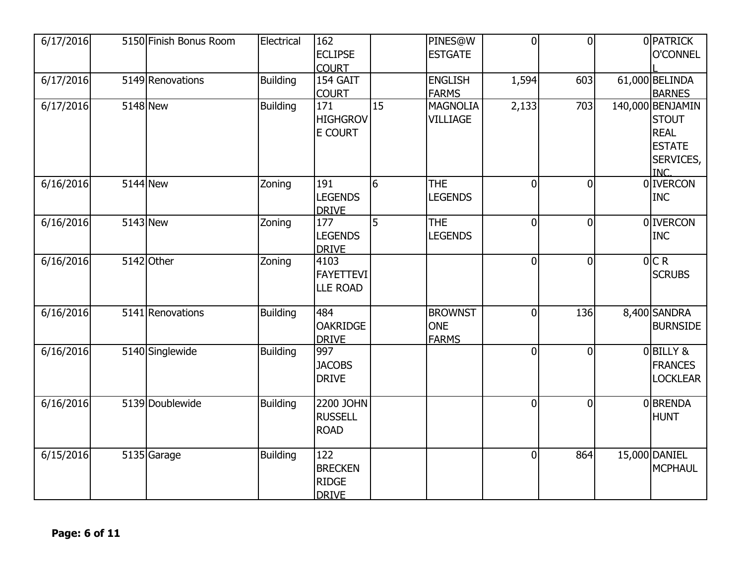| 6/17/2016 | 5150 Finish Bonus Room | Electrical      | 162<br><b>ECLIPSE</b><br><b>COURT</b>                 |                 | PINES@W<br><b>ESTGATE</b>                    | $\mathbf 0$    | $\overline{0}$ | 0 PATRICK<br><b>O'CONNEL</b>                                                          |
|-----------|------------------------|-----------------|-------------------------------------------------------|-----------------|----------------------------------------------|----------------|----------------|---------------------------------------------------------------------------------------|
| 6/17/2016 | 5149 Renovations       | <b>Building</b> | 154 GAIT<br><b>COURT</b>                              |                 | <b>ENGLISH</b><br><b>FARMS</b>               | 1,594          | 603            | 61,000 BELINDA<br><b>BARNES</b>                                                       |
| 6/17/2016 | 5148 New               | <b>Building</b> | 171<br><b>HIGHGROV</b><br><b>E COURT</b>              | $\overline{15}$ | MAGNOLIA<br><b>VILLIAGE</b>                  | 2,133          | 703            | 140,000 BENJAMIN<br><b>STOUT</b><br><b>REAL</b><br><b>ESTATE</b><br>SERVICES,<br>INC. |
| 6/16/2016 | 5144 New               | Zoning          | 191<br><b>LEGENDS</b><br><b>DRIVE</b>                 | 6               | THE<br><b>LEGENDS</b>                        | $\overline{0}$ | $\overline{0}$ | 0 <b>IVERCON</b><br><b>INC</b>                                                        |
| 6/16/2016 | 5143 New               | Zoning          | 177<br><b>LEGENDS</b><br><b>DRIVE</b>                 | 5               | <b>THE</b><br><b>LEGENDS</b>                 | $\overline{0}$ | 0              | 0 <b>IVERCON</b><br><b>INC</b>                                                        |
| 6/16/2016 | 5142 Other             | Zoning          | 4103<br><b>FAYETTEVI</b><br><b>LLE ROAD</b>           |                 |                                              | $\overline{0}$ | $\overline{0}$ | 0 CR<br><b>SCRUBS</b>                                                                 |
| 6/16/2016 | 5141 Renovations       | <b>Building</b> | 484<br><b>OAKRIDGE</b><br><b>DRIVE</b>                |                 | <b>BROWNST</b><br><b>ONE</b><br><b>FARMS</b> | $\overline{0}$ | 136            | 8,400 SANDRA<br><b>BURNSIDE</b>                                                       |
| 6/16/2016 | 5140 Singlewide        | <b>Building</b> | 997<br><b>JACOBS</b><br><b>DRIVE</b>                  |                 |                                              | $\overline{0}$ | $\overline{0}$ | 0BILLY &<br><b>FRANCES</b><br><b>LOCKLEAR</b>                                         |
| 6/16/2016 | 5139 Doublewide        | <b>Building</b> | 2200 JOHN<br><b>RUSSELL</b><br><b>ROAD</b>            |                 |                                              | $\Omega$       | $\Omega$       | <b>OBRENDA</b><br><b>HUNT</b>                                                         |
| 6/15/2016 | 5135 Garage            | <b>Building</b> | 122<br><b>BRECKEN</b><br><b>RIDGE</b><br><b>DRIVE</b> |                 |                                              | $\overline{0}$ | 864            | 15,000 DANIEL<br>MCPHAUL                                                              |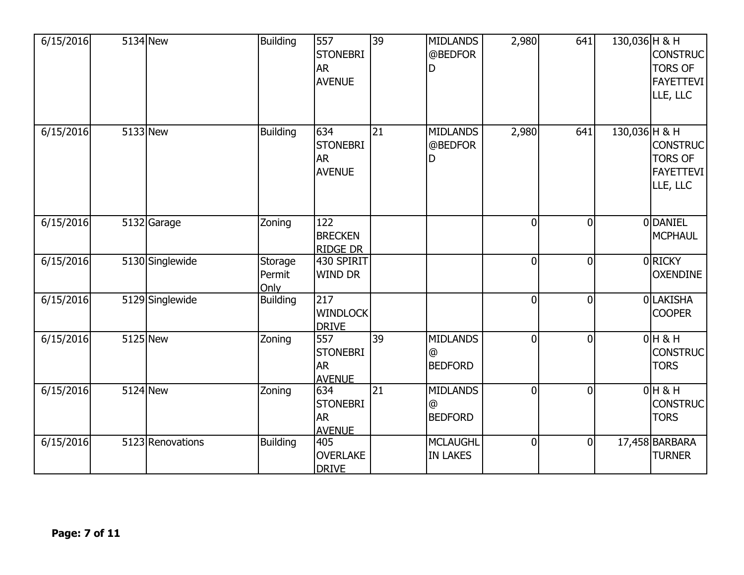| 6/15/2016 | 5134 New         | <b>Building</b>           | 557<br><b>STONEBRI</b><br><b>AR</b><br><b>AVENUE</b> | 39              | <b>MIDLANDS</b><br>@BEDFOR<br>D        | 2,980          | 641            | 130,036 H & H | <b>CONSTRUC</b><br><b>TORS OF</b><br><b>FAYETTEVI</b><br>LLE, LLC |
|-----------|------------------|---------------------------|------------------------------------------------------|-----------------|----------------------------------------|----------------|----------------|---------------|-------------------------------------------------------------------|
| 6/15/2016 | 5133 New         | <b>Building</b>           | 634<br><b>STONEBRI</b><br><b>AR</b><br><b>AVENUE</b> | 21              | <b>MIDLANDS</b><br>@BEDFOR<br>D        | 2,980          | 641            | 130,036 H & H | <b>CONSTRUC</b><br><b>TORS OF</b><br><b>FAYETTEVI</b><br>LLE, LLC |
| 6/15/2016 | 5132 Garage      | Zoning                    | 122<br><b>BRECKEN</b><br><b>RIDGE DR</b>             |                 |                                        | $\overline{0}$ | $\overline{0}$ |               | 0 DANIEL<br><b>MCPHAUL</b>                                        |
| 6/15/2016 | 5130 Singlewide  | Storage<br>Permit<br>Only | 430 SPIRIT<br><b>WIND DR</b>                         |                 |                                        | $\overline{0}$ | $\overline{0}$ |               | 0 RICKY<br><b>OXENDINE</b>                                        |
| 6/15/2016 | 5129 Singlewide  | <b>Building</b>           | 217<br><b>WINDLOCK</b><br><b>DRIVE</b>               |                 |                                        | $\overline{0}$ | $\Omega$       |               | 0LAKISHA<br><b>COOPER</b>                                         |
| 6/15/2016 | 5125 New         | Zoning                    | 557<br><b>STONEBRI</b><br><b>AR</b><br><b>AVENUE</b> | $\overline{39}$ | <b>MIDLANDS</b><br>@<br><b>BEDFORD</b> | $\overline{0}$ | $\overline{0}$ |               | $0H$ & H<br><b>CONSTRUC</b><br><b>TORS</b>                        |
| 6/15/2016 | 5124 New         | Zoning                    | 634<br><b>STONEBRI</b><br><b>AR</b><br><b>AVENUE</b> | $\overline{21}$ | <b>MIDLANDS</b><br>@<br><b>BEDFORD</b> | $\overline{0}$ | $\overline{0}$ |               | $0H$ & H<br><b>CONSTRUC</b><br><b>TORS</b>                        |
| 6/15/2016 | 5123 Renovations | <b>Building</b>           | 405<br>OVERLAKE<br><b>DRIVE</b>                      |                 | <b>MCLAUGHL</b><br><b>IN LAKES</b>     | $\overline{0}$ | $\mathbf 0$    |               | 17,458 BARBARA<br><b>TURNER</b>                                   |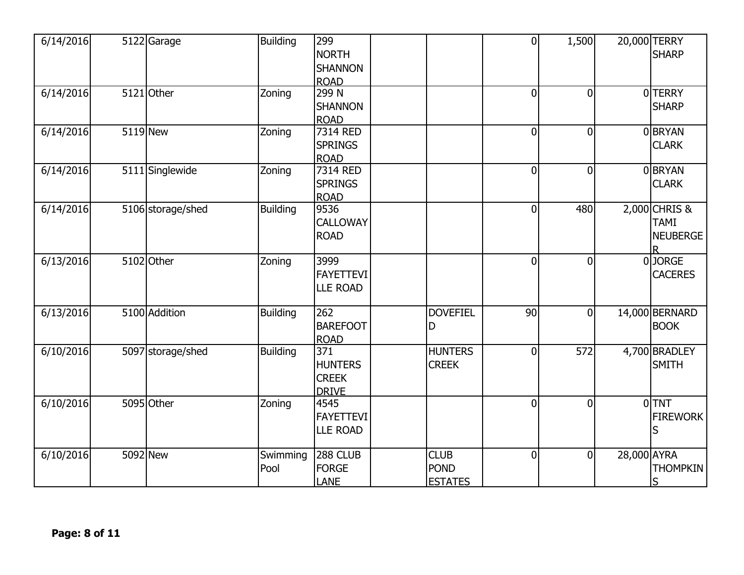| 6/14/2016 | 5122 Garage       | <b>Building</b>  | 299<br><b>NORTH</b><br><b>SHANNON</b><br><b>ROAD</b>  |                                              | $\overline{0}$ | 1,500          |             | 20,000 TERRY<br><b>SHARP</b>                    |
|-----------|-------------------|------------------|-------------------------------------------------------|----------------------------------------------|----------------|----------------|-------------|-------------------------------------------------|
| 6/14/2016 | 5121 Other        | Zoning           | 299N<br><b>SHANNON</b><br><b>ROAD</b>                 |                                              | $\overline{0}$ | $\overline{0}$ |             | 0 TERRY<br><b>SHARP</b>                         |
| 6/14/2016 | 5119 New          | Zoning           | 7314 RED<br><b>SPRINGS</b><br><b>ROAD</b>             |                                              | $\overline{0}$ | $\mathbf 0$    |             | 0 BRYAN<br><b>CLARK</b>                         |
| 6/14/2016 | 5111 Singlewide   | Zoning           | 7314 RED<br><b>SPRINGS</b><br><b>ROAD</b>             |                                              | $\overline{0}$ | $\overline{0}$ |             | 0 BRYAN<br><b>CLARK</b>                         |
| 6/14/2016 | 5106 storage/shed | <b>Building</b>  | 9536<br>CALLOWAY<br><b>ROAD</b>                       |                                              | $\overline{0}$ | 480            |             | 2,000 CHRIS &<br><b>TAMI</b><br><b>NEUBERGE</b> |
| 6/13/2016 | 5102 Other        | Zoning           | 3999<br><b>FAYETTEVI</b><br><b>LLE ROAD</b>           |                                              | $\overline{0}$ | $\overline{0}$ |             | 0JORGE<br><b>CACERES</b>                        |
| 6/13/2016 | 5100 Addition     | <b>Building</b>  | $\overline{262}$<br><b>BAREFOOT</b><br><b>ROAD</b>    | <b>DOVEFIEL</b><br>D                         | 90             | $\mathbf 0$    |             | 14,000 BERNARD<br><b>BOOK</b>                   |
| 6/10/2016 | 5097 storage/shed | <b>Building</b>  | 371<br><b>HUNTERS</b><br><b>CREEK</b><br><b>DRIVE</b> | <b>HUNTERS</b><br><b>CREEK</b>               | $\overline{0}$ | 572            |             | 4,700 BRADLEY<br><b>SMITH</b>                   |
| 6/10/2016 | 5095 Other        | Zoning           | 4545<br><b>FAYETTEVI</b><br><b>LLE ROAD</b>           |                                              | $\overline{0}$ | $\overline{0}$ |             | $0$ TNT<br><b>FIREWORK</b><br>S                 |
| 6/10/2016 | 5092 New          | Swimming<br>Pool | 288 CLUB<br><b>FORGE</b><br><b>LANE</b>               | <b>CLUB</b><br><b>POND</b><br><b>ESTATES</b> | $\overline{0}$ | $\mathbf 0$    | 28,000 AYRA | <b>THOMPKIN</b><br>S                            |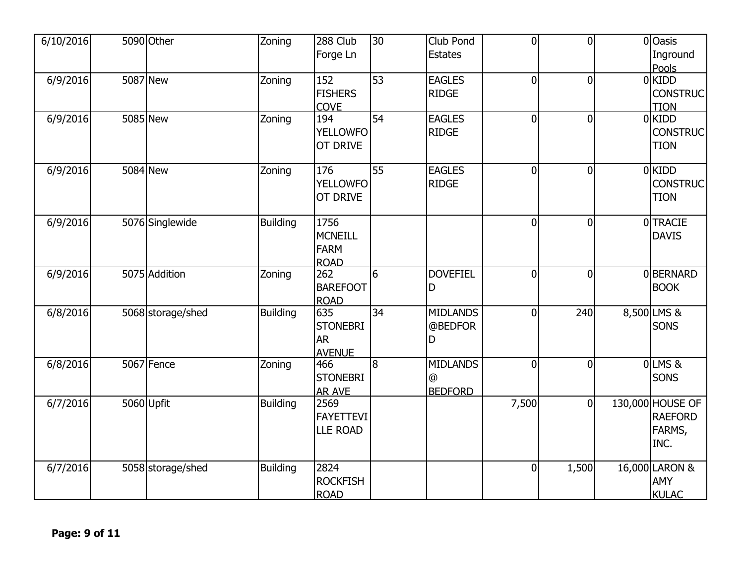| 6/10/2016 | 5090 Other        | Zoning          | 288 Club                      | 30              | Club Pond       | $\overline{0}$ | $\overline{0}$ | 0 Oasis                            |  |
|-----------|-------------------|-----------------|-------------------------------|-----------------|-----------------|----------------|----------------|------------------------------------|--|
|           |                   |                 | Forge Ln                      |                 | <b>Estates</b>  |                |                | Inground<br>Pools                  |  |
| 6/9/2016  | 5087 New          | Zoning          | 152                           | 53              | <b>EAGLES</b>   | $\overline{0}$ | $\overline{0}$ | $0$ KIDD                           |  |
|           |                   |                 | <b>FISHERS</b>                |                 | <b>RIDGE</b>    |                |                | <b>CONSTRUC</b>                    |  |
| 6/9/2016  | 5085 New          | Zoning          | <b>COVE</b><br>194            | 54              | <b>EAGLES</b>   | $\overline{0}$ | $\overline{0}$ | <b>TION</b><br>$0$ KIDD            |  |
|           |                   |                 | <b>YELLOWFO</b>               |                 | <b>RIDGE</b>    |                |                | <b>CONSTRUC</b>                    |  |
|           |                   |                 | OT DRIVE                      |                 |                 |                |                | <b>TION</b>                        |  |
| 6/9/2016  | 5084 New          | Zoning          | 176                           | $\overline{55}$ | <b>EAGLES</b>   | $\overline{0}$ | $\overline{0}$ | 0 KIDD                             |  |
|           |                   |                 | <b>YELLOWFO</b>               |                 | <b>RIDGE</b>    |                |                | <b>CONSTRUC</b>                    |  |
|           |                   |                 | OT DRIVE                      |                 |                 |                |                | <b>TION</b>                        |  |
| 6/9/2016  | 5076 Singlewide   | <b>Building</b> | 1756                          |                 |                 | $\overline{0}$ | $\mathbf 0$    | 0 TRACIE                           |  |
|           |                   |                 | <b>MCNEILL</b><br><b>FARM</b> |                 |                 |                |                | <b>DAVIS</b>                       |  |
|           |                   |                 | <b>ROAD</b>                   |                 |                 |                |                |                                    |  |
| 6/9/2016  | 5075 Addition     | Zoning          | 262                           | $6\overline{6}$ | <b>DOVEFIEL</b> | $\overline{0}$ | $\overline{0}$ | 0BERNARD                           |  |
|           |                   |                 | <b>BAREFOOT</b>               |                 | D               |                |                | <b>BOOK</b>                        |  |
| 6/8/2016  | 5068 storage/shed | Building        | <b>ROAD</b><br>635            | 34              | <b>MIDLANDS</b> | $\overline{0}$ | 240            | 8,500 LMS &                        |  |
|           |                   |                 | <b>STONEBRI</b>               |                 | @BEDFOR         |                |                | <b>SONS</b>                        |  |
|           |                   |                 | <b>AR</b>                     |                 | D               |                |                |                                    |  |
| 6/8/2016  | 5067 Fence        | Zoning          | <b>AVENUE</b><br>466          | $\overline{8}$  | <b>MIDLANDS</b> | $\overline{0}$ | $\overline{0}$ | OLMS&                              |  |
|           |                   |                 | <b>STONEBRI</b>               |                 | @               |                |                | <b>SONS</b>                        |  |
|           |                   |                 | <b>AR AVE</b>                 |                 | <b>BEDFORD</b>  |                |                |                                    |  |
| 6/7/2016  | 5060 Upfit        | <b>Building</b> | 2569<br><b>FAYETTEVI</b>      |                 |                 | 7,500          | $\overline{0}$ | 130,000 HOUSE OF<br><b>RAEFORD</b> |  |
|           |                   |                 | <b>LLE ROAD</b>               |                 |                 |                |                | FARMS,                             |  |
|           |                   |                 |                               |                 |                 |                |                | INC.                               |  |
| 6/7/2016  | 5058 storage/shed | Building        | 2824                          |                 |                 | $\overline{0}$ | 1,500          | 16,000 LARON &                     |  |
|           |                   |                 | <b>ROCKFISH</b>               |                 |                 |                |                | AMY                                |  |
|           |                   |                 | <b>ROAD</b>                   |                 |                 |                |                | <b>KULAC</b>                       |  |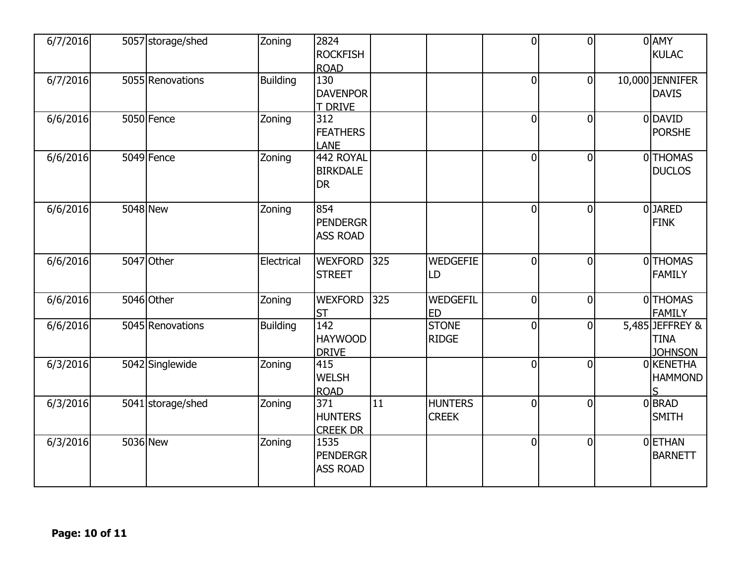| 6/7/2016 | 5057 storage/shed | Zoning          | 2824<br><b>ROCKFISH</b><br><b>ROAD</b>                |                 |                                | $\overline{0}$ | $\overline{0}$ | 0 AMY<br><b>KULAC</b>                            |
|----------|-------------------|-----------------|-------------------------------------------------------|-----------------|--------------------------------|----------------|----------------|--------------------------------------------------|
| 6/7/2016 | 5055 Renovations  | <b>Building</b> | 130<br><b>DAVENPOR</b><br>T DRIVE                     |                 |                                | $\overline{0}$ | $\overline{0}$ | 10,000 JENNIFER<br><b>DAVIS</b>                  |
| 6/6/2016 | 5050 Fence        | Zoning          | $\overline{312}$<br><b>FEATHERS</b><br><b>LANE</b>    |                 |                                | $\overline{0}$ | $\mathbf 0$    | 0 DAVID<br><b>PORSHE</b>                         |
| 6/6/2016 | 5049 Fence        | Zoning          | 442 ROYAL<br><b>BIRKDALE</b><br><b>DR</b>             |                 |                                | $\overline{0}$ | $\overline{0}$ | 0THOMAS<br><b>DUCLOS</b>                         |
| 6/6/2016 | $5048$ New        | Zoning          | 854<br><b>PENDERGR</b><br><b>ASS ROAD</b>             |                 |                                | $\overline{0}$ | $\overline{0}$ | 0JARED<br><b>FINK</b>                            |
| 6/6/2016 | 5047 Other        | Electrical      | <b>WEXFORD</b><br><b>STREET</b>                       | 325             | <b>WEDGEFIE</b><br>LD          | $\overline{0}$ | $\overline{0}$ | 0THOMAS<br><b>FAMILY</b>                         |
| 6/6/2016 | 5046 Other        | Zoning          | <b>WEXFORD</b><br><b>ST</b>                           | 325             | WEDGEFIL<br><b>ED</b>          | 0              | $\mathbf 0$    | 0 THOMAS<br><b>FAMILY</b>                        |
| 6/6/2016 | 5045 Renovations  | <b>Building</b> | $\overline{142}$<br><b>HAYWOOD</b><br><b>DRIVE</b>    |                 | <b>STONE</b><br><b>RIDGE</b>   | $\overline{0}$ | $\overline{0}$ | 5,485 JEFFREY &<br><b>TINA</b><br><b>JOHNSON</b> |
| 6/3/2016 | 5042 Singlewide   | Zoning          | 415<br><b>WELSH</b><br><b>ROAD</b>                    |                 |                                | $\overline{0}$ | $\overline{0}$ | 0 KENETHA<br><b>HAMMOND</b><br>ς                 |
| 6/3/2016 | 5041 storage/shed | Zoning          | $\overline{371}$<br><b>HUNTERS</b><br><b>CREEK DR</b> | $\overline{11}$ | <b>HUNTERS</b><br><b>CREEK</b> | $\overline{0}$ | $\overline{0}$ | 0 BRAD<br><b>SMITH</b>                           |
| 6/3/2016 | 5036 New          | Zoning          | 1535<br><b>PENDERGR</b><br><b>ASS ROAD</b>            |                 |                                | $\overline{0}$ | $\overline{0}$ | <b>OETHAN</b><br><b>BARNETT</b>                  |